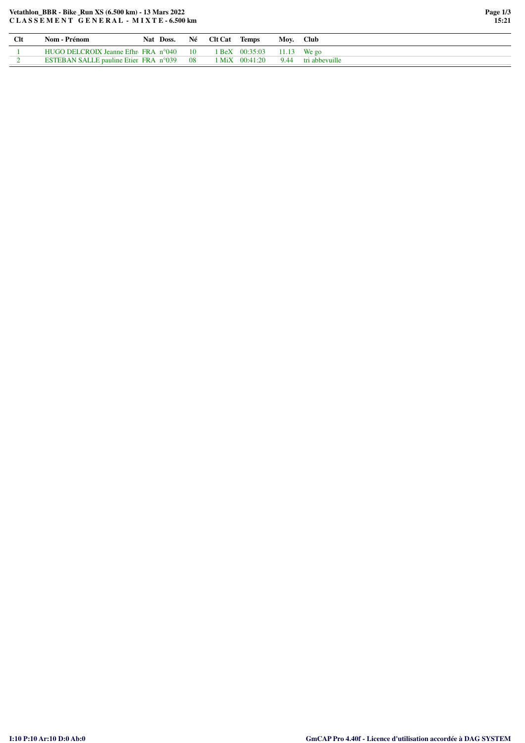## Vetathlon\_BBR - Bike\_Run XS (6.500 km) - 13 Mars 2022 CLASSEMENT GENERAL - MIXTE-6.500 km

| <b>Clt</b> | Nom - Prénom                                   |  |                 | Nat Doss. Né Clt Cat Temps |                                      | Moy. Club |                                                |
|------------|------------------------------------------------|--|-----------------|----------------------------|--------------------------------------|-----------|------------------------------------------------|
|            | HUGO DELCROIX Jeanne Efhn FRA $n^{\circ}040$   |  | $\overline{10}$ |                            | $1 \text{ BeX}$ 00:35:03 11.13 We go |           |                                                |
|            | ESTEBAN SALLE pauline Etien FRA $n^{\circ}039$ |  | - 08            |                            |                                      |           | $1 \text{ MiX}$ $00:41:20$ 9.44 tri abbevuille |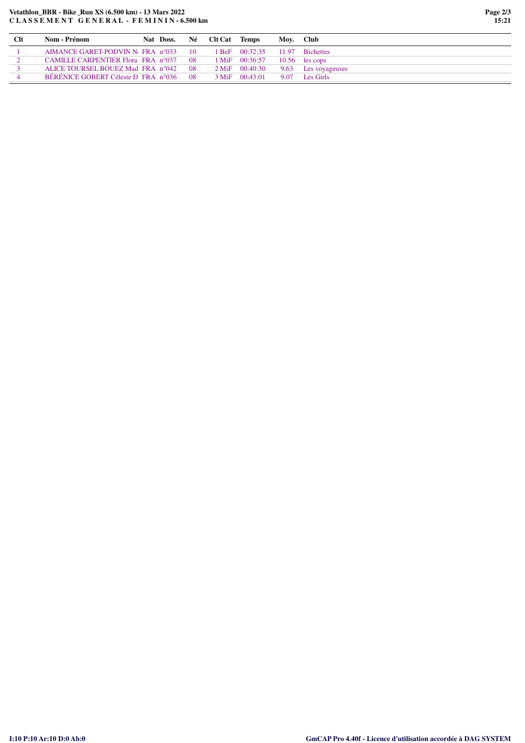## **Vetathlon\_BBR - Bike Run XS (6.500 km) - 13 Mars 2022 C L A S S E M E N T G E N E R A L - F E M I N I N - 6.500 km**

| <b>Clt</b> | Nom - Prénom                                      | Nat Doss. |      | Né Clt Cat | Temps                    | Moy. Club |                     |
|------------|---------------------------------------------------|-----------|------|------------|--------------------------|-----------|---------------------|
|            | AIMANCE GARET-PODVIN No FRA $n^{\circ}033 = 10$   |           |      |            | 1 BeF 00:32:35           |           | 11.97 Bichettes     |
|            | CAMILLE CARPENTIER Flora FRA n°037                |           | - 08 |            | $1 \text{ MiF}$ 00:36:57 |           | $10.56$ les cops    |
|            | ALICE TOURSEL BOUEZ Mad FRA n°042                 |           | - 08 |            | $2 \text{ MiF}$ 00:40:30 |           | 9.63 Les voyageuses |
|            | BÉRÉNICE GOBERT Céleste D FRA $n^{\circ}036 = 08$ |           |      |            | $3 \text{ MiF}$ 00:43:01 |           | 9.07 Les Girls      |